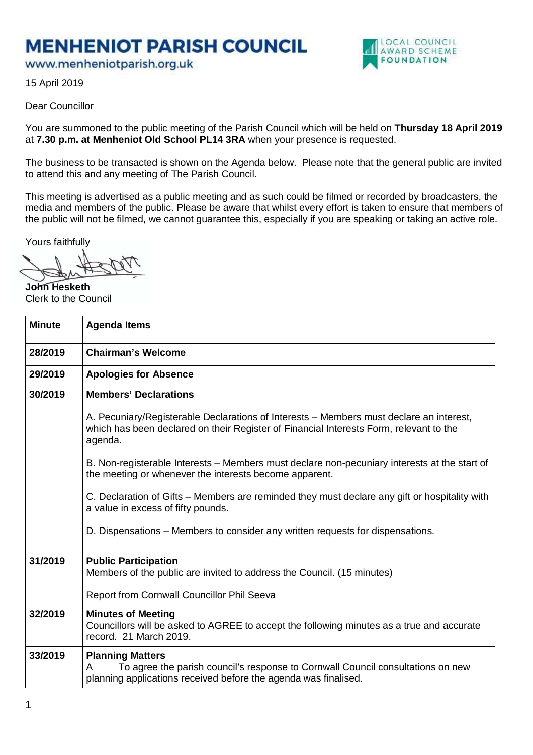## **MENHENIOT PARISH COUNCIL**

www.menheniotparish.org.uk



15 April 2019

## Dear Councillor

You are summoned to the public meeting of the Parish Council which will be held on **Thursday 18 April 2019**  at **7.30 p.m. at Menheniot Old School PL14 3RA** when your presence is requested.

The business to be transacted is shown on the Agenda below. Please note that the general public are invited to attend this and any meeting of The Parish Council.

This meeting is advertised as a public meeting and as such could be filmed or recorded by broadcasters, the media and members of the public. Please be aware that whilst every effort is taken to ensure that members of the public will not be filmed, we cannot guarantee this, especially if you are speaking or taking an active role.

Yours faithfully

**John Hesketh**  Clerk to the Council

| <b>Minute</b> | <b>Agenda Items</b>                                                                                                                                                                          |
|---------------|----------------------------------------------------------------------------------------------------------------------------------------------------------------------------------------------|
| 28/2019       | <b>Chairman's Welcome</b>                                                                                                                                                                    |
| 29/2019       | <b>Apologies for Absence</b>                                                                                                                                                                 |
| 30/2019       | <b>Members' Declarations</b>                                                                                                                                                                 |
|               | A. Pecuniary/Registerable Declarations of Interests – Members must declare an interest,<br>which has been declared on their Register of Financial Interests Form, relevant to the<br>agenda. |
|               | B. Non-registerable Interests – Members must declare non-pecuniary interests at the start of<br>the meeting or whenever the interests become apparent.                                       |
|               | C. Declaration of Gifts – Members are reminded they must declare any gift or hospitality with<br>a value in excess of fifty pounds.                                                          |
|               | D. Dispensations – Members to consider any written requests for dispensations.                                                                                                               |
| 31/2019       | <b>Public Participation</b><br>Members of the public are invited to address the Council. (15 minutes)                                                                                        |
|               | Report from Cornwall Councillor Phil Seeva                                                                                                                                                   |
| 32/2019       | <b>Minutes of Meeting</b><br>Councillors will be asked to AGREE to accept the following minutes as a true and accurate<br>record. 21 March 2019.                                             |
| 33/2019       | <b>Planning Matters</b><br>To agree the parish council's response to Cornwall Council consultations on new<br>A<br>planning applications received before the agenda was finalised.           |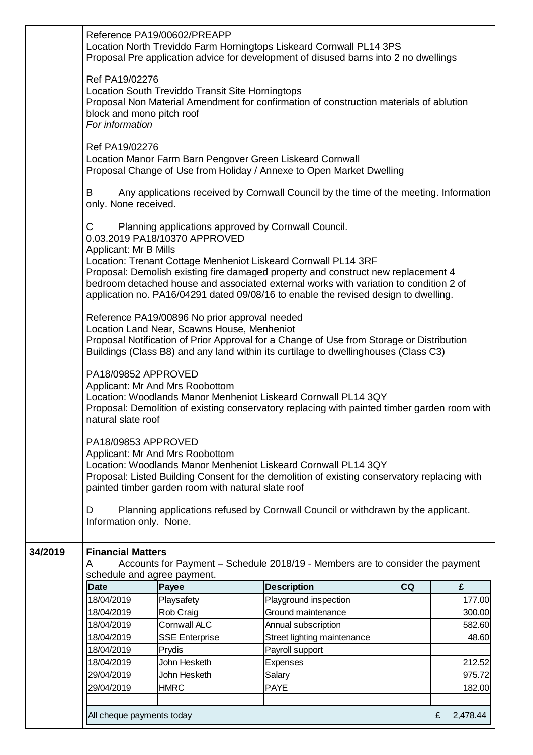|         | Reference PA19/00602/PREAPP<br>Location North Treviddo Farm Horningtops Liskeard Cornwall PL14 3PS<br>Proposal Pre application advice for development of disused barns into 2 no dwellings |                                                                                              |                                                                                                                                                                                                                                                                                                                                     |    |               |  |
|---------|--------------------------------------------------------------------------------------------------------------------------------------------------------------------------------------------|----------------------------------------------------------------------------------------------|-------------------------------------------------------------------------------------------------------------------------------------------------------------------------------------------------------------------------------------------------------------------------------------------------------------------------------------|----|---------------|--|
|         | Ref PA19/02276<br>block and mono pitch roof<br>For information                                                                                                                             | Location South Treviddo Transit Site Horningtops                                             | Proposal Non Material Amendment for confirmation of construction materials of ablution                                                                                                                                                                                                                                              |    |               |  |
|         | Ref PA19/02276                                                                                                                                                                             | Location Manor Farm Barn Pengover Green Liskeard Cornwall                                    | Proposal Change of Use from Holiday / Annexe to Open Market Dwelling                                                                                                                                                                                                                                                                |    |               |  |
|         | B<br>only. None received.                                                                                                                                                                  |                                                                                              | Any applications received by Cornwall Council by the time of the meeting. Information                                                                                                                                                                                                                                               |    |               |  |
|         | С<br>Applicant: Mr B Mills                                                                                                                                                                 | Planning applications approved by Cornwall Council.<br>0.03.2019 PA18/10370 APPROVED         | Location: Trenant Cottage Menheniot Liskeard Cornwall PL14 3RF<br>Proposal: Demolish existing fire damaged property and construct new replacement 4<br>bedroom detached house and associated external works with variation to condition 2 of<br>application no. PA16/04291 dated 09/08/16 to enable the revised design to dwelling. |    |               |  |
|         |                                                                                                                                                                                            | Reference PA19/00896 No prior approval needed<br>Location Land Near, Scawns House, Menheniot | Proposal Notification of Prior Approval for a Change of Use from Storage or Distribution<br>Buildings (Class B8) and any land within its curtilage to dwellinghouses (Class C3)                                                                                                                                                     |    |               |  |
|         | PA18/09852 APPROVED<br>natural slate roof                                                                                                                                                  | Applicant: Mr And Mrs Roobottom                                                              | Location: Woodlands Manor Menheniot Liskeard Cornwall PL14 3QY<br>Proposal: Demolition of existing conservatory replacing with painted timber garden room with                                                                                                                                                                      |    |               |  |
|         | PA18/09853 APPROVED<br>D<br>Information only. None.                                                                                                                                        | Applicant: Mr And Mrs Roobottom<br>painted timber garden room with natural slate roof        | Location: Woodlands Manor Menheniot Liskeard Cornwall PL14 3QY<br>Proposal: Listed Building Consent for the demolition of existing conservatory replacing with<br>Planning applications refused by Cornwall Council or withdrawn by the applicant.                                                                                  |    |               |  |
| 34/2019 | <b>Financial Matters</b><br>A                                                                                                                                                              |                                                                                              | Accounts for Payment – Schedule 2018/19 - Members are to consider the payment                                                                                                                                                                                                                                                       |    |               |  |
|         | schedule and agree payment.<br><b>Date</b>                                                                                                                                                 | Payee                                                                                        | <b>Description</b>                                                                                                                                                                                                                                                                                                                  | CQ | £             |  |
|         | 18/04/2019                                                                                                                                                                                 | Playsafety                                                                                   | Playground inspection                                                                                                                                                                                                                                                                                                               |    | 177.00        |  |
|         | 18/04/2019                                                                                                                                                                                 | Rob Craig                                                                                    | Ground maintenance                                                                                                                                                                                                                                                                                                                  |    | 300.00        |  |
|         | 18/04/2019                                                                                                                                                                                 | <b>Cornwall ALC</b>                                                                          | Annual subscription                                                                                                                                                                                                                                                                                                                 |    | 582.60        |  |
|         | 18/04/2019                                                                                                                                                                                 | <b>SSE Enterprise</b>                                                                        | Street lighting maintenance                                                                                                                                                                                                                                                                                                         |    | 48.60         |  |
|         | 18/04/2019                                                                                                                                                                                 | Prydis                                                                                       | Payroll support                                                                                                                                                                                                                                                                                                                     |    |               |  |
|         | 18/04/2019                                                                                                                                                                                 | John Hesketh                                                                                 | <b>Expenses</b>                                                                                                                                                                                                                                                                                                                     |    | 212.52        |  |
|         | 29/04/2019                                                                                                                                                                                 | John Hesketh                                                                                 | Salary                                                                                                                                                                                                                                                                                                                              |    | 975.72        |  |
|         | 29/04/2019                                                                                                                                                                                 | <b>HMRC</b>                                                                                  | <b>PAYE</b>                                                                                                                                                                                                                                                                                                                         |    | 182.00        |  |
|         |                                                                                                                                                                                            |                                                                                              |                                                                                                                                                                                                                                                                                                                                     |    |               |  |
|         | All cheque payments today                                                                                                                                                                  |                                                                                              |                                                                                                                                                                                                                                                                                                                                     |    | 2,478.44<br>£ |  |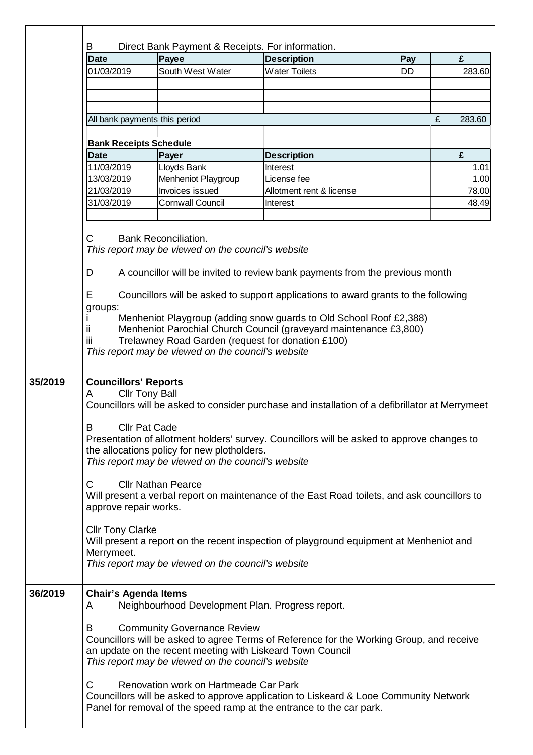| <b>Date</b>                                                                                             | Payee                                                                           | <b>Description</b>                                                                                                                                            | Pay | £           |  |  |  |  |
|---------------------------------------------------------------------------------------------------------|---------------------------------------------------------------------------------|---------------------------------------------------------------------------------------------------------------------------------------------------------------|-----|-------------|--|--|--|--|
| 01/03/2019                                                                                              | South West Water                                                                | <b>Water Toilets</b>                                                                                                                                          | DD  | 283.60      |  |  |  |  |
|                                                                                                         |                                                                                 |                                                                                                                                                               |     |             |  |  |  |  |
|                                                                                                         |                                                                                 |                                                                                                                                                               |     |             |  |  |  |  |
|                                                                                                         | All bank payments this period                                                   |                                                                                                                                                               |     | £<br>283.60 |  |  |  |  |
|                                                                                                         | <b>Bank Receipts Schedule</b>                                                   |                                                                                                                                                               |     |             |  |  |  |  |
| <b>Date</b>                                                                                             | Payer                                                                           | <b>Description</b>                                                                                                                                            |     | £           |  |  |  |  |
| 11/03/2019                                                                                              | Lloyds Bank                                                                     | Interest                                                                                                                                                      |     | 1.01        |  |  |  |  |
| 13/03/2019                                                                                              | Menheniot Playgroup                                                             | License fee                                                                                                                                                   |     | 1.00        |  |  |  |  |
| 21/03/2019                                                                                              | Invoices issued                                                                 | Allotment rent & license                                                                                                                                      |     | 78.00       |  |  |  |  |
| 31/03/2019                                                                                              | <b>Cornwall Council</b>                                                         | Interest                                                                                                                                                      |     | 48.49       |  |  |  |  |
| <b>Bank Reconciliation.</b><br>С<br>This report may be viewed on the council's website                  |                                                                                 |                                                                                                                                                               |     |             |  |  |  |  |
| D<br>A councillor will be invited to review bank payments from the previous month                       |                                                                                 |                                                                                                                                                               |     |             |  |  |  |  |
| Е<br>Councillors will be asked to support applications to award grants to the following                 |                                                                                 |                                                                                                                                                               |     |             |  |  |  |  |
| groups:                                                                                                 |                                                                                 |                                                                                                                                                               |     |             |  |  |  |  |
| Menheniot Playgroup (adding snow guards to Old School Roof £2,388)                                      |                                                                                 |                                                                                                                                                               |     |             |  |  |  |  |
| Menheniot Parochial Church Council (graveyard maintenance £3,800)<br>ij.<br>iίi                         |                                                                                 |                                                                                                                                                               |     |             |  |  |  |  |
| Trelawney Road Garden (request for donation £100)<br>This report may be viewed on the council's website |                                                                                 |                                                                                                                                                               |     |             |  |  |  |  |
|                                                                                                         |                                                                                 |                                                                                                                                                               |     |             |  |  |  |  |
|                                                                                                         |                                                                                 |                                                                                                                                                               |     |             |  |  |  |  |
| <b>Councillors' Reports</b><br><b>Cllr Tony Ball</b><br>A                                               |                                                                                 |                                                                                                                                                               |     |             |  |  |  |  |
| Councillors will be asked to consider purchase and installation of a defibrillator at Merrymeet         |                                                                                 |                                                                                                                                                               |     |             |  |  |  |  |
|                                                                                                         |                                                                                 |                                                                                                                                                               |     |             |  |  |  |  |
| B<br><b>Cllr Pat Cade</b>                                                                               |                                                                                 |                                                                                                                                                               |     |             |  |  |  |  |
| Presentation of allotment holders' survey. Councillors will be asked to approve changes to              |                                                                                 |                                                                                                                                                               |     |             |  |  |  |  |
|                                                                                                         |                                                                                 |                                                                                                                                                               |     |             |  |  |  |  |
|                                                                                                         | the allocations policy for new plotholders.                                     |                                                                                                                                                               |     |             |  |  |  |  |
|                                                                                                         | This report may be viewed on the council's website                              |                                                                                                                                                               |     |             |  |  |  |  |
|                                                                                                         |                                                                                 |                                                                                                                                                               |     |             |  |  |  |  |
| C                                                                                                       | <b>Cllr Nathan Pearce</b>                                                       |                                                                                                                                                               |     |             |  |  |  |  |
|                                                                                                         |                                                                                 | Will present a verbal report on maintenance of the East Road toilets, and ask councillors to                                                                  |     |             |  |  |  |  |
| approve repair works.                                                                                   |                                                                                 |                                                                                                                                                               |     |             |  |  |  |  |
|                                                                                                         |                                                                                 |                                                                                                                                                               |     |             |  |  |  |  |
| <b>Cllr Tony Clarke</b>                                                                                 |                                                                                 |                                                                                                                                                               |     |             |  |  |  |  |
|                                                                                                         |                                                                                 | Will present a report on the recent inspection of playground equipment at Menheniot and                                                                       |     |             |  |  |  |  |
| Merrymeet.                                                                                              | This report may be viewed on the council's website                              |                                                                                                                                                               |     |             |  |  |  |  |
|                                                                                                         |                                                                                 |                                                                                                                                                               |     |             |  |  |  |  |
|                                                                                                         |                                                                                 |                                                                                                                                                               |     |             |  |  |  |  |
| A                                                                                                       | <b>Chair's Agenda Items</b><br>Neighbourhood Development Plan. Progress report. |                                                                                                                                                               |     |             |  |  |  |  |
|                                                                                                         |                                                                                 |                                                                                                                                                               |     |             |  |  |  |  |
| B                                                                                                       | <b>Community Governance Review</b>                                              |                                                                                                                                                               |     |             |  |  |  |  |
|                                                                                                         |                                                                                 | Councillors will be asked to agree Terms of Reference for the Working Group, and receive                                                                      |     |             |  |  |  |  |
|                                                                                                         | an update on the recent meeting with Liskeard Town Council                      |                                                                                                                                                               |     |             |  |  |  |  |
|                                                                                                         | This report may be viewed on the council's website                              |                                                                                                                                                               |     |             |  |  |  |  |
|                                                                                                         |                                                                                 |                                                                                                                                                               |     |             |  |  |  |  |
| C                                                                                                       | Renovation work on Hartmeade Car Park                                           |                                                                                                                                                               |     |             |  |  |  |  |
|                                                                                                         |                                                                                 | Councillors will be asked to approve application to Liskeard & Looe Community Network<br>Panel for removal of the speed ramp at the entrance to the car park. |     |             |  |  |  |  |